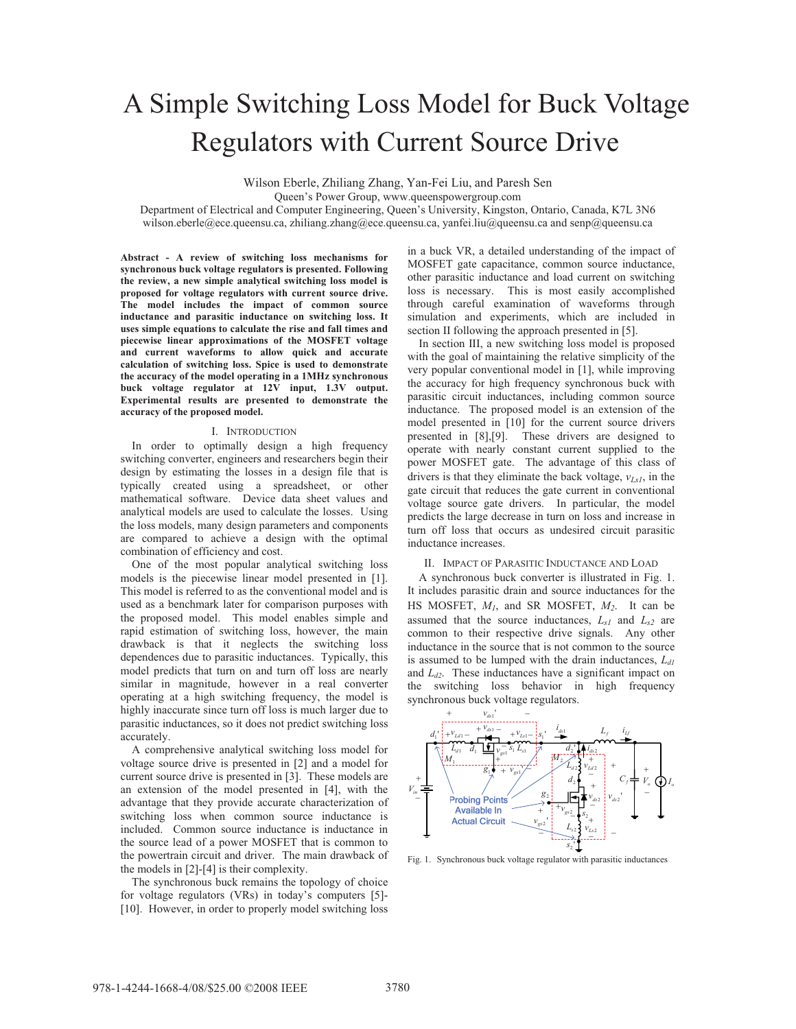# A Simple Switching Loss Model for Buck Voltage Regulators with Current Source Drive

Wilson Eberle, Zhiliang Zhang, Yan-Fei Liu, and Paresh Sen Queen's Power Group, www.queenspowergroup.com

Department of Electrical and Computer Engineering, Queen's University, Kingston, Ontario, Canada, K7L 3N6 wilson.eberle@ece.queensu.ca, zhiliang.zhang@ece.queensu.ca, yanfei.liu@queensu.ca and senp@queensu.ca

**Abstract - A review of switching loss mechanisms for synchronous buck voltage regulators is presented. Following the review, a new simple analytical switching loss model is proposed for voltage regulators with current source drive. The model includes the impact of common source inductance and parasitic inductance on switching loss. It uses simple equations to calculate the rise and fall times and piecewise linear approximations of the MOSFET voltage and current waveforms to allow quick and accurate calculation of switching loss. Spice is used to demonstrate the accuracy of the model operating in a 1MHz synchronous buck voltage regulator at 12V input, 1.3V output. Experimental results are presented to demonstrate the accuracy of the proposed model.** 

#### I. INTRODUCTION

In order to optimally design a high frequency switching converter, engineers and researchers begin their design by estimating the losses in a design file that is typically created using a spreadsheet, or other mathematical software. Device data sheet values and analytical models are used to calculate the losses. Using the loss models, many design parameters and components are compared to achieve a design with the optimal combination of efficiency and cost.

One of the most popular analytical switching loss models is the piecewise linear model presented in [1]. This model is referred to as the conventional model and is used as a benchmark later for comparison purposes with the proposed model. This model enables simple and rapid estimation of switching loss, however, the main drawback is that it neglects the switching loss dependences due to parasitic inductances. Typically, this model predicts that turn on and turn off loss are nearly similar in magnitude, however in a real converter operating at a high switching frequency, the model is highly inaccurate since turn off loss is much larger due to parasitic inductances, so it does not predict switching loss accurately.

A comprehensive analytical switching loss model for voltage source drive is presented in [2] and a model for current source drive is presented in [3]. These models are an extension of the model presented in [4], with the advantage that they provide accurate characterization of switching loss when common source inductance is included. Common source inductance is inductance in the source lead of a power MOSFET that is common to the powertrain circuit and driver. The main drawback of the models in [2]-[4] is their complexity.

The synchronous buck remains the topology of choice for voltage regulators (VRs) in today's computers [5]- [10]. However, in order to properly model switching loss in a buck VR, a detailed understanding of the impact of MOSFET gate capacitance, common source inductance, other parasitic inductance and load current on switching loss is necessary. This is most easily accomplished through careful examination of waveforms through simulation and experiments, which are included in section II following the approach presented in [5].

In section III, a new switching loss model is proposed with the goal of maintaining the relative simplicity of the very popular conventional model in [1], while improving the accuracy for high frequency synchronous buck with parasitic circuit inductances, including common source inductance. The proposed model is an extension of the model presented in [10] for the current source drivers presented in [8],[9]. These drivers are designed to operate with nearly constant current supplied to the power MOSFET gate. The advantage of this class of drivers is that they eliminate the back voltage,  $v_{Ls1}$ , in the gate circuit that reduces the gate current in conventional voltage source gate drivers. In particular, the model predicts the large decrease in turn on loss and increase in turn off loss that occurs as undesired circuit parasitic inductance increases.

#### II. IMPACT OF PARASITIC INDUCTANCE AND LOAD

A synchronous buck converter is illustrated in Fig. 1. It includes parasitic drain and source inductances for the HS MOSFET, *M1*, and SR MOSFET, *M2*. It can be assumed that the source inductances,  $L_{s1}$  and  $L_{s2}$  are common to their respective drive signals. Any other inductance in the source that is not common to the source is assumed to be lumped with the drain inductances,  $L_{d1}$ and  $L_{d2}$ . These inductances have a significant impact on the switching loss behavior in high frequency synchronous buck voltage regulators.



Fig. 1. Synchronous buck voltage regulator with parasitic inductances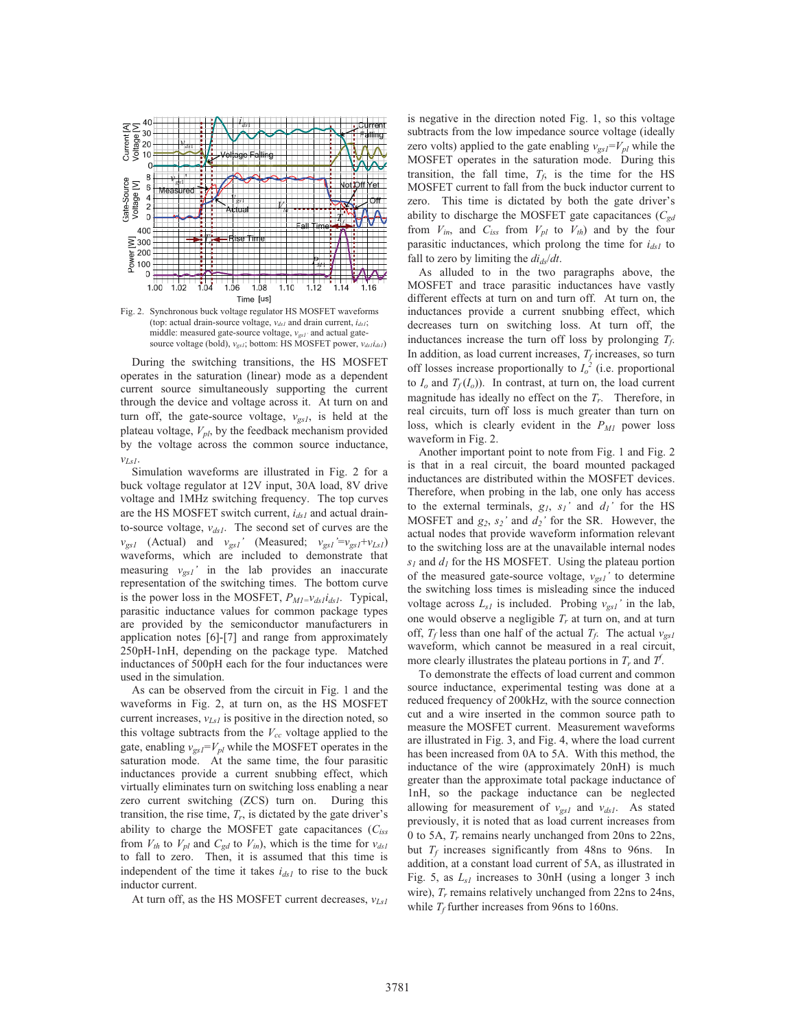

Fig. 2. Synchronous buck voltage regulator HS MOSFET waveforms (top: actual drain-source voltage, *vds1* and drain current, *ids1*; middle: measured gate-source voltage,  $v_{gs1'}$  and actual gatesource voltage (bold),  $v_{gs1}$ ; bottom: HS MOSFET power,  $v_{ds1}i_{ds1}$ )

During the switching transitions, the HS MOSFET operates in the saturation (linear) mode as a dependent current source simultaneously supporting the current through the device and voltage across it. At turn on and turn off, the gate-source voltage,  $v_{gs1}$ , is held at the plateau voltage,  $V_{pl}$ , by the feedback mechanism provided by the voltage across the common source inductance, *vLs1*.

Simulation waveforms are illustrated in Fig. 2 for a buck voltage regulator at 12V input, 30A load, 8V drive voltage and 1MHz switching frequency. The top curves are the HS MOSFET switch current, *ids1* and actual drainto-source voltage, *vds1*. The second set of curves are the  $v_{gs1}$  (Actual) and  $v_{gs1}$ ' (Measured;  $v_{gs1}$ '= $v_{gs1}$ + $v_{Ls1}$ ) waveforms, which are included to demonstrate that measuring  $v_{gs1}$ ' in the lab provides an inaccurate representation of the switching times. The bottom curve is the power loss in the MOSFET, *PM1=vds1ids1*. Typical, parasitic inductance values for common package types are provided by the semiconductor manufacturers in application notes [6]-[7] and range from approximately 250pH-1nH, depending on the package type. Matched inductances of 500pH each for the four inductances were used in the simulation.

As can be observed from the circuit in Fig. 1 and the waveforms in Fig. 2, at turn on, as the HS MOSFET current increases,  $v_{Ls1}$  is positive in the direction noted, so this voltage subtracts from the  $V_{cc}$  voltage applied to the gate, enabling  $v_{gs} = V_{pl}$  while the MOSFET operates in the saturation mode. At the same time, the four parasitic inductances provide a current snubbing effect, which virtually eliminates turn on switching loss enabling a near zero current switching (ZCS) turn on. During this transition, the rise time,  $T_r$ , is dictated by the gate driver's ability to charge the MOSFET gate capacitances (*Ciss* from  $V_{th}$  to  $V_{pl}$  and  $C_{gd}$  to  $V_{in}$ ), which is the time for  $v_{ds}$ to fall to zero. Then, it is assumed that this time is independent of the time it takes  $i_{ds}$  to rise to the buck inductor current.

At turn off, as the HS MOSFET current decreases,  $v_{Ls1}$ 

is negative in the direction noted Fig. 1, so this voltage subtracts from the low impedance source voltage (ideally zero volts) applied to the gate enabling  $v_{gs} = V_{pl}$  while the MOSFET operates in the saturation mode. During this transition, the fall time,  $T_f$ , is the time for the HS MOSFET current to fall from the buck inductor current to zero. This time is dictated by both the gate driver's ability to discharge the MOSFET gate capacitances (*Cgd* from  $V_{in}$ , and  $C_{iss}$  from  $V_{pl}$  to  $V_{th}$ ) and by the four parasitic inductances, which prolong the time for  $i_{ds}$  to fall to zero by limiting the *dids*/*dt*.

As alluded to in the two paragraphs above, the MOSFET and trace parasitic inductances have vastly different effects at turn on and turn off. At turn on, the inductances provide a current snubbing effect, which decreases turn on switching loss. At turn off, the inductances increase the turn off loss by prolonging  $T_f$ . In addition, as load current increases,  $T_f$  increases, so turn off losses increase proportionally to  $I_o^2$  (i.e. proportional to  $I_0$  and  $T_f(I_0)$ ). In contrast, at turn on, the load current magnitude has ideally no effect on the *Tr*. Therefore, in real circuits, turn off loss is much greater than turn on loss, which is clearly evident in the  $P_{MI}$  power loss waveform in Fig. 2.

Another important point to note from Fig. 1 and Fig. 2 is that in a real circuit, the board mounted packaged inductances are distributed within the MOSFET devices. Therefore, when probing in the lab, one only has access to the external terminals,  $g_l$ ,  $s_l$ ' and  $d_l$ ' for the HS MOSFET and  $g_2$ ,  $s_2$ ' and  $d_2$ ' for the SR. However, the actual nodes that provide waveform information relevant to the switching loss are at the unavailable internal nodes  $s_1$  and  $d_1$  for the HS MOSFET. Using the plateau portion of the measured gate-source voltage, *vgs1'* to determine the switching loss times is misleading since the induced voltage across  $L_{s1}$  is included. Probing  $v_{gs1}$ ' in the lab, one would observe a negligible  $T_r$  at turn on, and at turn off,  $T_f$  less than one half of the actual  $T_f$ . The actual  $v_{gs1}$ waveform, which cannot be measured in a real circuit, more clearly illustrates the plateau portions in  $T_r$  and  $\overline{T}$ .

To demonstrate the effects of load current and common source inductance, experimental testing was done at a reduced frequency of 200kHz, with the source connection cut and a wire inserted in the common source path to measure the MOSFET current. Measurement waveforms are illustrated in Fig. 3, and Fig. 4, where the load current has been increased from 0A to 5A. With this method, the inductance of the wire (approximately 20nH) is much greater than the approximate total package inductance of 1nH, so the package inductance can be neglected allowing for measurement of  $v_{gs1}$  and  $v_{ds1}$ . As stated previously, it is noted that as load current increases from 0 to 5A, *Tr* remains nearly unchanged from 20ns to 22ns, but  $T_f$  increases significantly from 48ns to 96ns. In addition, at a constant load current of 5A, as illustrated in Fig. 5, as *Ls1* increases to 30nH (using a longer 3 inch wire),  $T_r$  remains relatively unchanged from 22ns to 24ns, while  $T_f$  further increases from 96ns to 160ns.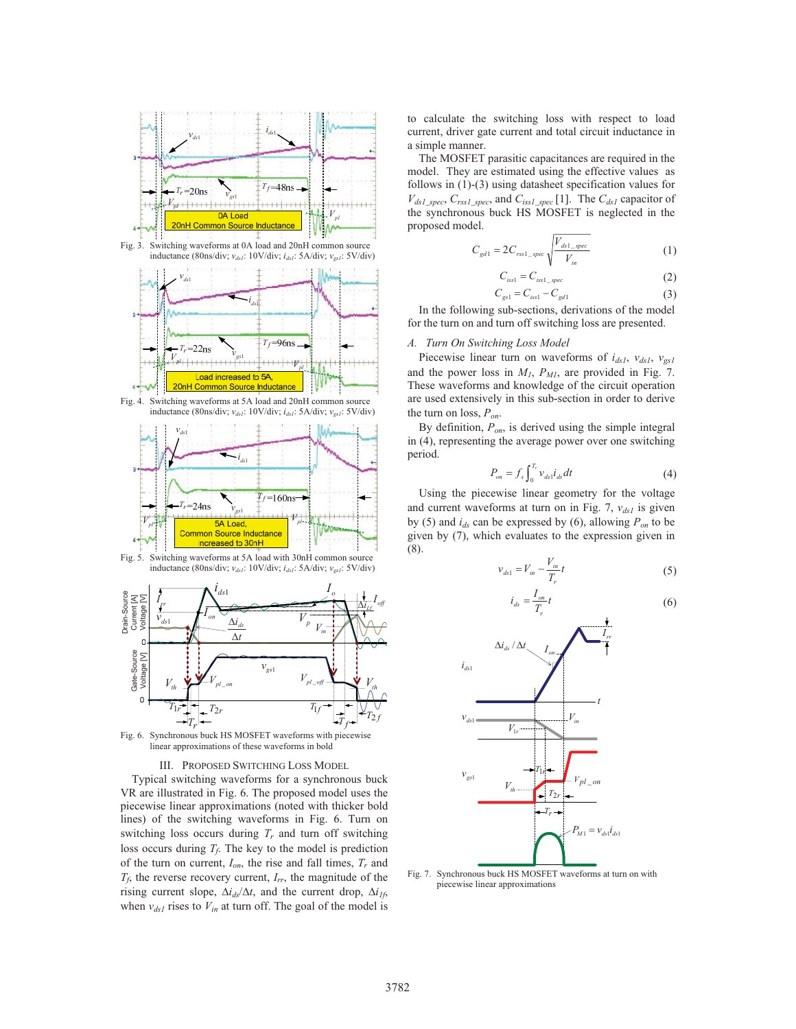

linear approximations of these waveforms in bold

#### III. PROPOSED SWITCHING LOSS MODEL

Typical switching waveforms for a synchronous buck VR are illustrated in Fig. 6. The proposed model uses the piecewise linear approximations (noted with thicker bold lines) of the switching waveforms in Fig. 6. Turn on switching loss occurs during  $T_r$  and turn off switching loss occurs during  $T_f$ . The key to the model is prediction of the turn on current,  $I_{on}$ , the rise and fall times,  $T_r$  and  $T_f$ , the reverse recovery current,  $I_{rr}$ , the magnitude of the rising current slope,  $\Delta i_{ds}/\Delta t$ , and the current drop,  $\Delta i_{1f}$ , when  $v_{ds}$  rises to  $V_{in}$  at turn off. The goal of the model is

to calculate the switching loss with respect to load current, driver gate current and total circuit inductance in a simple manner.

The MOSFET parasitic capacitances are required in the model. They are estimated using the effective values as follows in (1)-(3) using datasheet specification values for *Vds1\_spec*, *Crss1\_spec*, and *Ciss1\_spec* [1]. The *Cds1* capacitor of the synchronous buck HS MOSFET is neglected in the proposed model.

$$
C_{gd1} = 2C_{rs1\_spec} \sqrt{\frac{V_{ds1\_spec}}{V_{in}}} \tag{1}
$$

$$
C_{iss1} = C_{iss1\_spec} \tag{2}
$$

$$
C_{gs1} = C_{iss1} - C_{gd1} \tag{3}
$$

In the following sub-sections, derivations of the model for the turn on and turn off switching loss are presented.

## *A. Turn On Switching Loss Model*

Piecewise linear turn on waveforms of  $i_{ds1}$ ,  $v_{ds1}$ ,  $v_{gs1}$ and the power loss in  $M_1$ ,  $P_{MI}$ , are provided in Fig. 7. These waveforms and knowledge of the circuit operation are used extensively in this sub-section in order to derive the turn on loss, *Pon*.

By definition, *Pon*, is derived using the simple integral in (4), representing the average power over one switching period.

$$
P_{on} = f_s \int_0^{T_r} v_{ds1} i_{ds} dt \tag{4}
$$

Using the piecewise linear geometry for the voltage and current waveforms at turn on in Fig. 7,  $v_{ds1}$  is given by (5) and *ids* can be expressed by (6), allowing *Pon* to be given by (7), which evaluates to the expression given in (8).

*t*

*I i*

*on*

$$
v_{ds1} = V_{in} - \frac{V_{in}}{T_r}t
$$
 (5)

$$
t_{ds} = \frac{I_{on}}{T}t\tag{6}
$$



Fig. 7. Synchronous buck HS MOSFET waveforms at turn on with piecewise linear approximations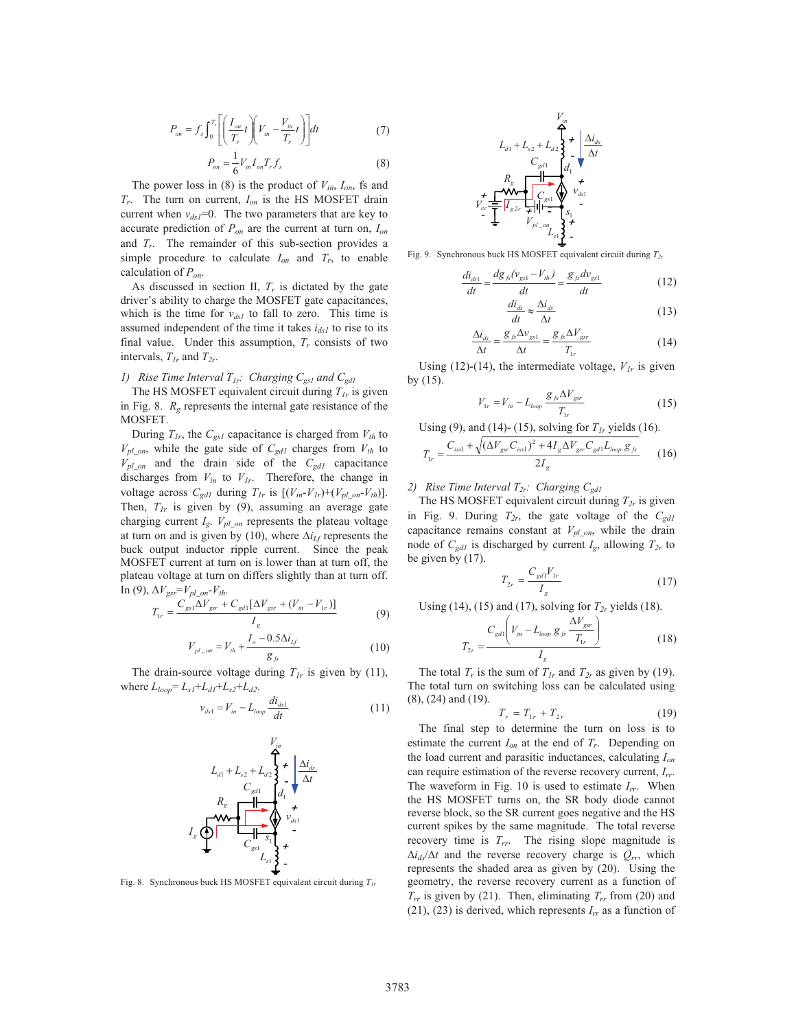$$
P_{on} = f_s \int_0^T \left[ \left( \frac{I_{on}}{T_r} t \right) V_{in} - \frac{V_{in}}{T_r} t \right] dt \tag{7}
$$

$$
P_{on} = \frac{1}{6} V_{in} I_{on} T_r f_s
$$
 (8)

The power loss in (8) is the product of *Vin*, *Ion*, fs and *Tr*. The turn on current, *Ion* is the HS MOSFET drain current when  $v_{ds}$ <sup>=0</sup>. The two parameters that are key to accurate prediction of *Pon* are the current at turn on, *Ion* and  $T_r$ . The remainder of this sub-section provides a simple procedure to calculate  $I_{on}$  and  $T_r$ , to enable calculation of *Pon*.

As discussed in section II,  $T_r$  is dictated by the gate driver's ability to charge the MOSFET gate capacitances, which is the time for  $v_{ds1}$  to fall to zero. This time is assumed independent of the time it takes *ids1* to rise to its final value. Under this assumption,  $T_r$  consists of two intervals,  $T_{1r}$  and  $T_{2r}$ .

# *1) Rise Time Interval T1r: Charging Cgs1 and Cgd1*

The HS MOSFET equivalent circuit during  $T_{1r}$  is given in Fig. 8.  $R_g$  represents the internal gate resistance of the MOSFET.

During  $T_{Ir}$ , the  $C_{gs1}$  capacitance is charged from  $V_{th}$  to  $V_{pl\_on}$ , while the gate side of  $C_{gdI}$  charges from  $V_{th}$  to  $V_{pl\_on}$  and the drain side of the  $C_{gd}$  capacitance discharges from  $V_{in}$  to  $V_{Ir}$ . Therefore, the change in voltage across  $C_{gdl}$  during  $T_{lr}$  is  $[(V_{in} - V_{lr}) + (V_{pl\_on} - V_{th})]$ . Then,  $T_{1r}$  is given by (9), assuming an average gate charging current *Ig*. *Vpl\_on* represents the plateau voltage at turn on and is given by (10), where  $\Delta i_{Lf}$  represents the buck output inductor ripple current. Since the peak MOSFET current at turn on is lower than at turn off, the plateau voltage at turn on differs slightly than at turn off. In (9),  $\Delta V_{\text{gsr}} = V_{\text{pl}}_{\text{on}} - V_{\text{th}}$ .

$$
T_{1r} = \frac{C_{gs1} \Delta V_{gsr} + C_{gd1} [\Delta V_{gsr} + (V_{in} - V_{1r})]}{I_g}
$$
(9)

$$
V_{pl\_on} = V_{th} + \frac{I_o - 0.5\Delta i_{Lf}}{g_{fs}}
$$
(10)

The drain-source voltage during  $T_{1r}$  is given by (11), where  $L_{loop} = L_{s1} + L_{d1} + L_{s2} + L_{d2}$ .

$$
v_{ds1} = V_{in} - L_{loop} \frac{di_{ds1}}{dt}
$$
 (11)



Fig. 8. Synchronous buck HS MOSFET equivalent circuit during  $T<sub>tr</sub>$ 



Fig. 9. Synchronous buck HS MOSFET equivalent circuit during  $T<sub>2r</sub>$ 

$$
\frac{di_{ds1}}{dt} = \frac{dg_{fs}(v_{gs1} - V_{th})}{dt} = \frac{g_{fs}dv_{gs1}}{dt}
$$
 (12)

$$
\frac{di_{ds}}{dt} \approx \frac{\Delta i_{ds}}{\Delta t}
$$
 (13)

$$
\frac{\Delta i_{ds}}{\Delta t} = \frac{g_{fs}\Delta v_{gs1}}{\Delta t} = \frac{g_{fs}\Delta V_{gsr}}{T_{1r}}\tag{14}
$$

Using (12)-(14), the intermediate voltage,  $V_{1r}$  is given by (15).

$$
V_{1r} = V_{in} - L_{loop} \frac{g_{fs} \Delta V_{gsr}}{T_{1r}}
$$
\n(15)

Using (9), and (14)- (15), solving for  $T_{1r}$  yields (16).

$$
T_{1r} = \frac{C_{iss1} + \sqrt{(\Delta V_{gs} C_{iss1})^2 + 4I_g \Delta V_{gs} C_{gd1} L_{loop} g_{fs}}}{2I_g}
$$
 (16)

## *2) Rise Time Interval T2r: Charging Cgd1*

The HS MOSFET equivalent circuit during  $T_{2r}$  is given in Fig. 9. During  $T_{2r}$ , the gate voltage of the  $C_{gdl}$ capacitance remains constant at  $V_{pl\text{on}}$ , while the drain node of  $C_{gdl}$  is discharged by current  $I_g$ , allowing  $T_{2r}$  to be given by (17).

$$
T_{2r} = \frac{C_{gd1}V_{1r}}{I_g} \tag{17}
$$

Using (14), (15) and (17), solving for  $T_{2r}$  yields (18).

$$
T_{2r} = \frac{C_{gd1}\left(V_{in} - L_{loop} g_{fs} \frac{\Delta V_{gsr}}{T_{1r}}\right)}{I_g}
$$
 (18)

The total  $T_r$  is the sum of  $T_{1r}$  and  $T_{2r}$  as given by (19). The total turn on switching loss can be calculated using (8), (24) and (19).

$$
T_r = T_{1r} + T_{2r} \tag{19}
$$

The final step to determine the turn on loss is to estimate the current  $I_{on}$  at the end of  $T_r$ . Depending on the load current and parasitic inductances, calculating *Ion* can require estimation of the reverse recovery current, *Irr*. The waveform in Fig. 10 is used to estimate *Irr*. When the HS MOSFET turns on, the SR body diode cannot reverse block, so the SR current goes negative and the HS current spikes by the same magnitude. The total reverse recovery time is  $T_{rr}$ . The rising slope magnitude is  $\Delta i_{ds}/\Delta t$  and the reverse recovery charge is  $Q_{rr}$ , which represents the shaded area as given by (20). Using the geometry, the reverse recovery current as a function of  $T_{rr}$  is given by (21). Then, eliminating  $T_{rr}$  from (20) and (21), (23) is derived, which represents  $I_{rr}$  as a function of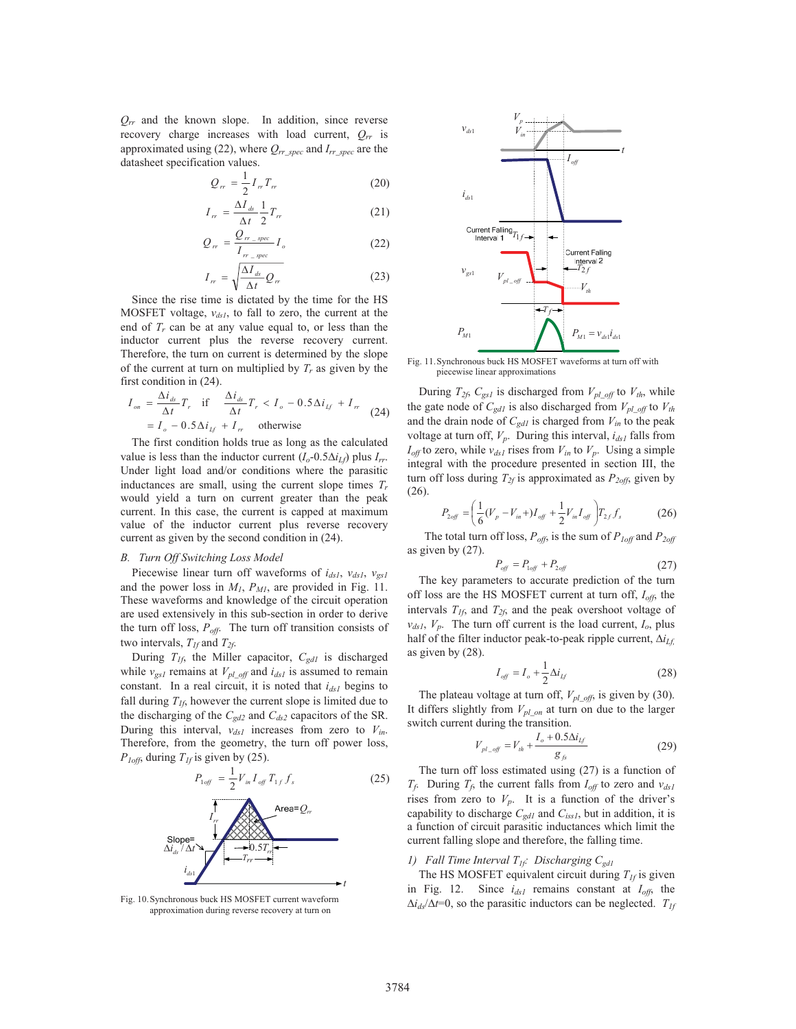$Q_{rr}$  and the known slope. In addition, since reverse recovery charge increases with load current, *Qrr* is approximated using (22), where *Qrr\_spec* and *Irr\_spec* are the datasheet specification values.

$$
\mathcal{Q}_r = \frac{1}{2} I_r T_r \tag{20}
$$

$$
I_{rr} = \frac{\Delta I_{ds}}{\Delta t} \frac{1}{2} T_{rr} \tag{21}
$$

$$
Q_{rr} = \frac{Q_{rr\_spec}}{I_{rr\_spec}} I_o \tag{22}
$$

$$
I_{rr} = \sqrt{\frac{\Delta I_{ds}}{\Delta t} Q_{rr}} \tag{23}
$$

Since the rise time is dictated by the time for the HS MOSFET voltage, *vds1*, to fall to zero, the current at the end of  $T_r$  can be at any value equal to, or less than the inductor current plus the reverse recovery current. Therefore, the turn on current is determined by the slope of the current at turn on multiplied by  $T_r$  as given by the first condition in (24).

$$
I_{on} = \frac{\Delta i_{ds}}{\Delta t} T_r \quad \text{if} \quad \frac{\Delta i_{ds}}{\Delta t} T_r < I_o - 0.5 \Delta i_{Lf} + I_r
$$
\n
$$
= I_o - 0.5 \Delta i_{Lf} + I_r \quad \text{otherwise} \tag{24}
$$

The first condition holds true as long as the calculated value is less than the inductor current  $(I_o\n-0.5\Delta i_L)$  plus  $I_{rr}$ . Under light load and/or conditions where the parasitic inductances are small, using the current slope times  $T_r$ would yield a turn on current greater than the peak current. In this case, the current is capped at maximum value of the inductor current plus reverse recovery current as given by the second condition in (24).

## *B. Turn Off Switching Loss Model*

Piecewise linear turn off waveforms of  $i_{ds1}$ ,  $v_{ds1}$ ,  $v_{gs1}$ and the power loss in  $M_l$ ,  $P_{MI}$ , are provided in Fig. 11. These waveforms and knowledge of the circuit operation are used extensively in this sub-section in order to derive the turn off loss, *Poff*. The turn off transition consists of two intervals, *T1f* and *T2f*.

During  $T_{1f}$ , the Miller capacitor,  $C_{gdl}$  is discharged while  $v_{gs1}$  remains at  $V_{pl-off}$  and  $i_{ds1}$  is assumed to remain constant. In a real circuit, it is noted that  $i_{ds}$  begins to fall during  $T_{1f}$ , however the current slope is limited due to the discharging of the  $C_{\text{ed2}}$  and  $C_{\text{ds2}}$  capacitors of the SR. During this interval,  $v_{ds1}$  increases from zero to  $V_{in}$ . Therefore, from the geometry, the turn off power loss,  $P_{1off}$ , during  $T_{1f}$  is given by (25).



Fig. 10.Synchronous buck HS MOSFET current waveform approximation during reverse recovery at turn on



Fig. 11.Synchronous buck HS MOSFET waveforms at turn off with piecewise linear approximations

During  $T_{2f}$ ,  $C_{gs1}$  is discharged from  $V_{pl\_off}$  to  $V_{th}$ , while the gate node of  $C_{gdI}$  is also discharged from  $V_{pl\_off}$  to  $V_{th}$ and the drain node of  $C_{gdI}$  is charged from  $V_{in}$  to the peak voltage at turn off, *Vp*. During this interval, *ids1* falls from  $I_{off}$  to zero, while  $v_{dsI}$  rises from  $V_{in}$  to  $V_p$ . Using a simple integral with the procedure presented in section III, the turn off loss during  $T_{2f}$  is approximated as  $P_{2off}$ , given by (26).

$$
P_{2off} = \left(\frac{1}{6}(V_p - V_{in} +)I_{off} + \frac{1}{2}V_{in}I_{off}\right)T_{2f}f_s
$$
 (26)

The total turn off loss,  $P_{off}$ , is the sum of  $P_{1off}$  and  $P_{2off}$ as given by (27).

$$
P_{\text{off}} = P_{\text{1off}} + P_{\text{2off}} \tag{27}
$$

The key parameters to accurate prediction of the turn off loss are the HS MOSFET current at turn off, *Ioff*, the intervals  $T_{1f}$ , and  $T_{2f}$ , and the peak overshoot voltage of  $v_{ds1}$ ,  $V_p$ . The turn off current is the load current,  $I_o$ , plus half of the filter inductor peak-to-peak ripple current,  $\Delta i_{LL}$ as given by (28).

$$
I_{\text{off}} = I_o + \frac{1}{2} \Delta i_{Lf} \tag{28}
$$

The plateau voltage at turn off,  $V_{pl\_off}$ , is given by (30). It differs slightly from *Vpl\_on* at turn on due to the larger switch current during the transition.

$$
V_{pl\_off} = V_{th} + \frac{I_o + 0.5\Delta i_{Lf}}{g_{fs}} \tag{29}
$$

The turn off loss estimated using (27) is a function of  $T_f$ . During  $T_f$ , the current falls from  $I_{off}$  to zero and  $v_{ds}$ rises from zero to  $V_p$ . It is a function of the driver's capability to discharge *Cgd1* and *Ciss1*, but in addition, it is a function of circuit parasitic inductances which limit the current falling slope and therefore, the falling time.

# *1) Fall Time Interval T1f: Discharging Cgd1*

The HS MOSFET equivalent circuit during  $T_{1f}$  is given in Fig. 12. Since *ids1* remains constant at *Ioff*, the  $\Delta i_{ds}/\Delta t = 0$ , so the parasitic inductors can be neglected.  $T_{1f}$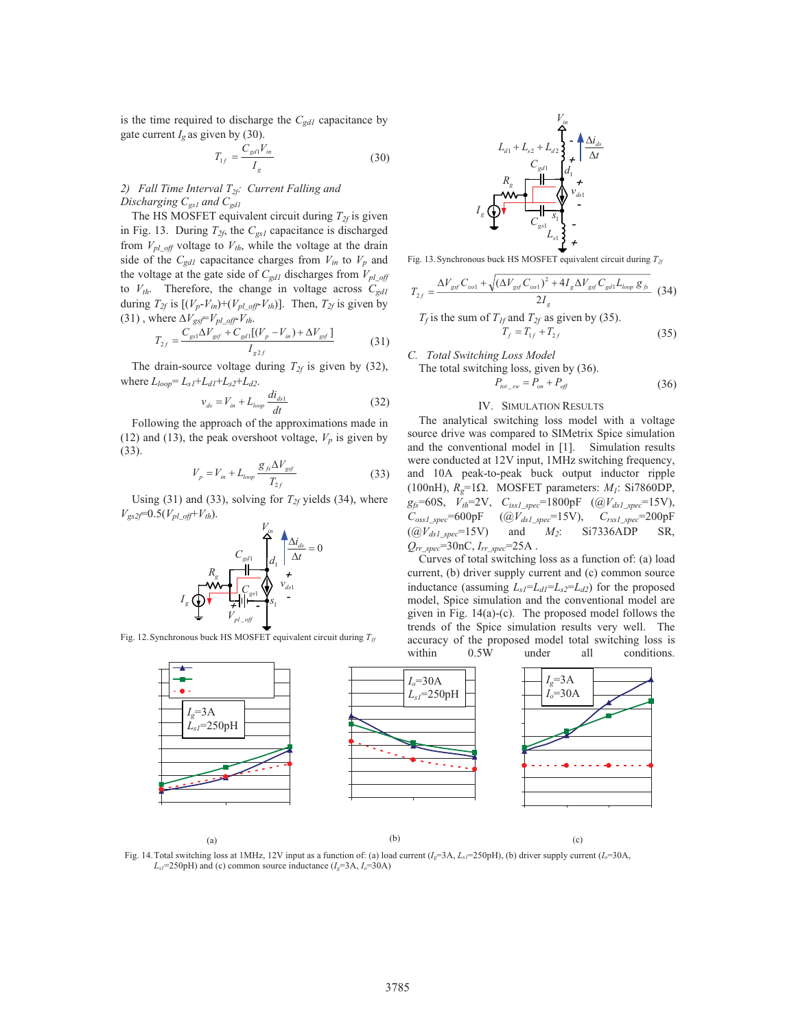is the time required to discharge the *Cgd1* capacitance by gate current  $I_g$  as given by (30).

$$
T_{1f} = \frac{C_{gd1}V_{in}}{I_g}
$$
 (30)

## *2) Fall Time Interval T2f: Current Falling and Discharging Cgs1 and Cgd1*

The HS MOSFET equivalent circuit during  $T_{2f}$  is given in Fig. 13. During  $T_{2f}$ , the  $C_{gs1}$  capacitance is discharged from  $V_{pl\ off}$  voltage to  $V_{th}$ , while the voltage at the drain side of the  $C_{gdI}$  capacitance charges from  $V_{in}$  to  $V_p$  and the voltage at the gate side of  $C_{gdI}$  discharges from  $V_{pl\_off}$ to  $V_{th}$ . Therefore, the change in voltage across  $C_{gal}$ during  $T_{2f}$  is  $[(V_p - V_{in}) + (V_{pl\_off} - V_{th})]$ . Then,  $T_{2f}$  is given by (31), where  $\Delta V_{gsf} = V_{pl}$  of  $\gamma$ <sup>-</sup> $V_{th}$ .

$$
T_{2f} = \frac{C_{gs1}\Delta V_{gsf} + C_{gd1}[(V_p - V_{in}) + \Delta V_{gsf}]}{I_{g2f}}
$$
(31)

The drain-source voltage during  $T_{2f}$  is given by (32), where  $L_{loop} = L_{s1} + L_{d1} + L_{s2} + L_{d2}$ .

$$
v_{ds} = V_{in} + L_{loop} \frac{di_{ds1}}{dt}
$$
 (32)

Following the approach of the approximations made in (12) and (13), the peak overshoot voltage,  $V_p$  is given by (33).

$$
V_{p} = V_{in} + L_{loop} \frac{g_{fs} \Delta V_{gsf}}{T_{2f}}
$$
(33)

Using (31) and (33), solving for  $T_{2f}$  yields (34), where  $V_{gs2f}$ =0.5( $V_{pl\_off}$ + $V_{th}$ ).



Fig. 12.Synchronous buck HS MOSFET equivalent circuit during *T1f*

(a)



Fig. 13. Synchronous buck HS MOSFET equivalent circuit during  $T_{2f}$ 

$$
T_{2f} = \frac{\Delta V_{gg} C_{iss1} + \sqrt{(\Delta V_{ggf} C_{iss1})^2 + 4I_g \Delta V_{ggf} C_{gd1} L_{loop} g_{fs}}}{2I_g}
$$
 (34)  
*T<sub>f</sub>* is the sum of *T<sub>lf</sub>* and *T<sub>2f</sub>* as given by (35).

$$
T_f
$$
 is the sum of  $T_{ff}$  and  $T_{2f}$  as given by (33).  
\n
$$
T_f = T_{1f} + T_{2f}
$$
\n(35)

*C. Total Switching Loss Model*  The total switching loss, given by (36).

$$
P_{tot\_sw} = P_{on} + P_{off}
$$
 (36)

# IV. SIMULATION RESULTS

The analytical switching loss model with a voltage source drive was compared to SIMetrix Spice simulation and the conventional model in [1]. Simulation results were conducted at 12V input, 1MHz switching frequency, and 10A peak-to-peak buck output inductor ripple (100nH),  $R_g$ =1 $\Omega$ . MOSFET parameters:  $M_l$ : Si7860DP, *gfs*=60S, *Vth*=2V, *Ciss1\_spec*=1800pF (@*Vds1\_spec*=15V), *Coss1\_spec*=600pF (@*Vds1\_spec*=15V), *Crss1\_spec*=200pF  $(\mathcal{Q}V_{ds1\_spec} = 15V)$  and  $M_2$ : Si7336ADP SR, *Qrr\_spec*=30nC, *Irr\_spec*=25A .

Curves of total switching loss as a function of: (a) load current, (b) driver supply current and (c) common source inductance (assuming  $L_{sI} = L_{dI} = L_{s2} = L_{d2}$ ) for the proposed model, Spice simulation and the conventional model are given in Fig. 14(a)-(c). The proposed model follows the trends of the Spice simulation results very well. The accuracy of the proposed model total switching loss is<br>within 0.5W under all conditions. within  $0.5W$  under all conditions.

(c)



Fig. 14.Total switching loss at 1MHz, 12V input as a function of: (a) load current (*Ig*=3A, *Ls1*=250pH), (b) driver supply current (*Io*=30A,  $L_{sl}$ =250pH) and (c) common source inductance ( $I_g$ =3A,  $I_o$ =30A)

(b)